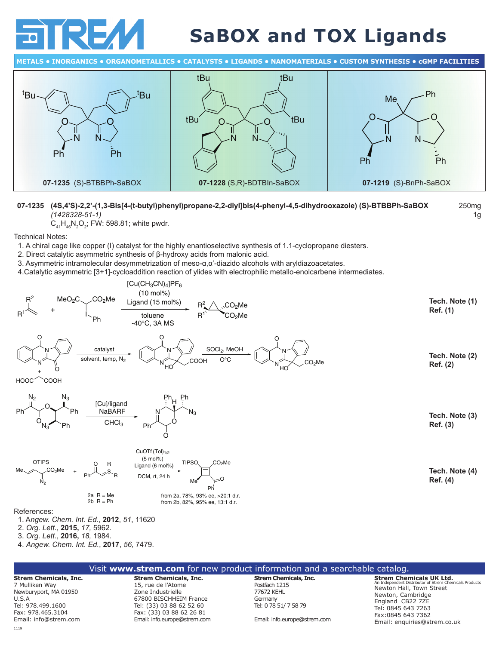

## **SaBOX and TOX Ligands**

250mg 1g

**METALS • INORGANICS • ORGANOMETALLICS • CATALYSTS • LIGANDS • NANOMATERIALS • CUSTOM SYNTHESIS • CGMP FACILITIES**



## **07-1235 (4S,4'S)-2,2'-(1,3-Bis[4-(t-butyl)phenyl)propane-2,2-diyl]bis(4-phenyl-4,5-dihydrooxazole) (S)-BTBBPh-SaBOX** *(1428328‑51‑1)*

 $\mathsf{C}_{_{41}}\mathsf{H}_{_{46}}\mathsf{N}_{_{2}}\mathsf{O}_{_{2}}$ ; FW: 598.81; white pwdr.

Technical Notes:

1. A chiral cage like copper (I) catalyst for the highly enantioselective synthesis of 1.1-cyclopropane diesters.

- 2. Direct catalytic asymmetric synthesis of β-hydroxy acids from malonic acid.
- 3. Asymmetric intramolecular desymmetrization of meso-α,α'-diazido alcohols with aryldiazoacetates.
- 4.Catalytic asymmetric [3+1]-cycloaddition reaction of ylides with electrophilic metallo-enolcarbene intermediates.



|                                                                                                                            | Visit www.strem.com for new product information and a searchable catalog.                                                                                 |                                                                                          |                                                                                                                                                                                     |  |
|----------------------------------------------------------------------------------------------------------------------------|-----------------------------------------------------------------------------------------------------------------------------------------------------------|------------------------------------------------------------------------------------------|-------------------------------------------------------------------------------------------------------------------------------------------------------------------------------------|--|
| <b>Strem Chemicals, Inc.</b><br>7 Mulliken Way<br>Newburyport, MA 01950<br>U.S.A<br>Tel: 978.499.1600<br>Fax: 978.465.3104 | <b>Strem Chemicals, Inc.</b><br>15, rue de l'Atome<br>Zone Industrielle<br>67800 BISCHHEIM France<br>Tel: (33) 03 88 62 52 60<br>Fax: (33) 03 88 62 26 81 | Strem Chemicals, Inc.<br>Postfach 1215<br>77672 KEHL<br>Germany<br>Tel: 0 78 51/ 7 58 79 | <b>Strem Chemicals UK Ltd.</b><br>An Independent Distributor of Strem Chemicals Products<br>Newton Hall, Town Street<br>Newton, Cambridge<br>England CB22 7ZE<br>Tel: 0845 643 7263 |  |
| Email: info@strem.com                                                                                                      | Email: info.europe@strem.com                                                                                                                              | Email: info.europe@strem.com                                                             | Fax:0845 643 7362<br>Email: enquiries@strem.co.uk                                                                                                                                   |  |